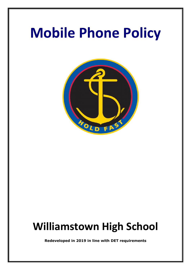# **Mobile Phone Policy**



## **Williamstown High School**

**Redeveloped in 2019 in line with DET requirements**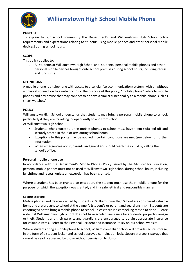

### **Williamstown High School Mobile Phone**

#### **PURPOSE**

To explain to our school community the Department's and Williamstown High School policy requirements and expectations relating to students using mobile phones and other personal mobile devices] during school hours.

#### **SCOPE**

This policy applies to:

1. All students at Williamstown High School and, students' personal mobile phones and other personal mobile devices brought onto school premises during school hours, including recess and lunchtime.

#### **DEFINITIONS**

A mobile phone is a telephone with access to a cellular (telecommunication) system, with or without a physical connection to a network. "For the purpose of this policy, "mobile phone" refers to mobile phones and any device that may connect to or have a similar functionality to a mobile phone such as smart watches."

#### **POLICY**

Williamstown High School understands that students may bring a personal mobile phone to school, particularly if they are travelling independently to and from school.

At Williamstown High School

- Students who choose to bring mobile phones to school must have them switched off and securely stored in their lockers during school hours.
- Exceptions to this policy may be applied if certain conditions are met (see below for further information)
- When emergencies occur, parents and guardians should reach their child by calling the school's office.

#### **Personal mobile phone use**

In accordance with the Department's [Mobile Phones Policy](https://www.education.vic.gov.au/school/principals/spag/safety/Pages/mobilephones.aspx) issued by the Minister for Education, personal mobile phones must not be used at Williamstown High School during school hours, including lunchtime and recess, unless an exception has been granted.

Where a student has been granted an exception, the student must use their mobile phone for the purpose for which the exception was granted, and in a safe, ethical and responsible manner.

#### **Secure storage**

Mobile phones and devices owned by students at Williamstown High School are considered valuable items and are brought to school at the owner's (student's or parent and guardians) risk. Students are encouraged not to bring a mobile phone to school unless there is a compelling reason to do so. Please note that Williamstown High School does not have accident insurance for accidental property damage or theft. Students and their parents and guardians are encouraged to obtain appropriate insurance for valuable items. Refer to the Personal Accident and Insurance Policy on our school website.

Where students bring a mobile phone to school, Williamstown High School will provide secure storage, in the form of a student locker and school approved combination lock. Secure storage is storage that cannot be readily accessed by those without permission to do so.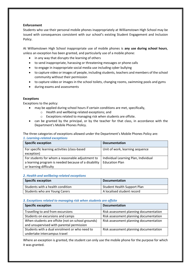#### **Enforcement**

Students who use their personal mobile phones inappropriately at Williamstown High School may be issued with consequences consistent with our school's existing Student Engagement and Inclusion Policy.

At Williamstown High School inappropriate use of mobile phones is **any use during school hours**, unless an exception has been granted, and particularly use of a mobile phone:

- in any way that disrupts the learning of others
- to send inappropriate, harassing or threatening messages or phone calls
- to engage in inappropriate social media use including cyber bullying
- to capture video or images of people, including students, teachers and members of the school community without their permission
- to capture video or images in the school toilets, changing rooms, swimming pools and gyms
- during exams and assessments

#### **Exceptions**

Exceptions to the policy:

- may be applied during school hours if certain conditions are met, specifically,
	- o Health and wellbeing-related exceptions; and
	- o Exceptions related to managing risk when students are offsite.
- can be granted by the principal, or by the teacher for that class, in accordance with the Department's [Mobile Phones Policy.](https://www.education.vic.gov.au/school/principals/spag/safety/Pages/mobilephones.aspx)

The three categories of exceptions allowed under the Department's [Mobile Phones Policy](https://www.education.vic.gov.au/school/principals/spag/safety/Pages/mobilephones.aspx) are: *1. Learning-related exceptions*

| <b>Specific exception</b>                            | <b>Documentation</b>                 |  |
|------------------------------------------------------|--------------------------------------|--|
|                                                      |                                      |  |
| For specific learning activities (class-based        | Unit of work, learning sequence      |  |
| exception)                                           |                                      |  |
| For students for whom a reasonable adjustment to     | Individual Learning Plan, Individual |  |
|                                                      |                                      |  |
| a learning program is needed because of a disability | <b>Education Plan</b>                |  |
| or learning difficulty                               |                                      |  |

#### *2. Health and wellbeing-related exceptions*

| <b>Specific exception</b>        | <b>Documentation</b>               |
|----------------------------------|------------------------------------|
| Students with a health condition | <b>Student Health Support Plan</b> |
| Students who are Young Carers    | A localised student record         |

#### *3. Exceptions related to managing risk when students are offsite*

| <b>Specific exception</b>                         | <b>Documentation</b>                   |
|---------------------------------------------------|----------------------------------------|
| Travelling to and from excursions                 | Risk assessment planning documentation |
| Students on excursions and camps                  | Risk assessment planning documentation |
| When students are offsite (not on school grounds) | Risk assessment planning documentation |
| and unsupervised with parental permission         |                                        |
| Students with a dual enrolment or who need to     | Risk assessment planning documentation |
| undertake intercampus travel                      |                                        |

Where an exception is granted, the student can only use the mobile phone for the purpose for which it was granted.